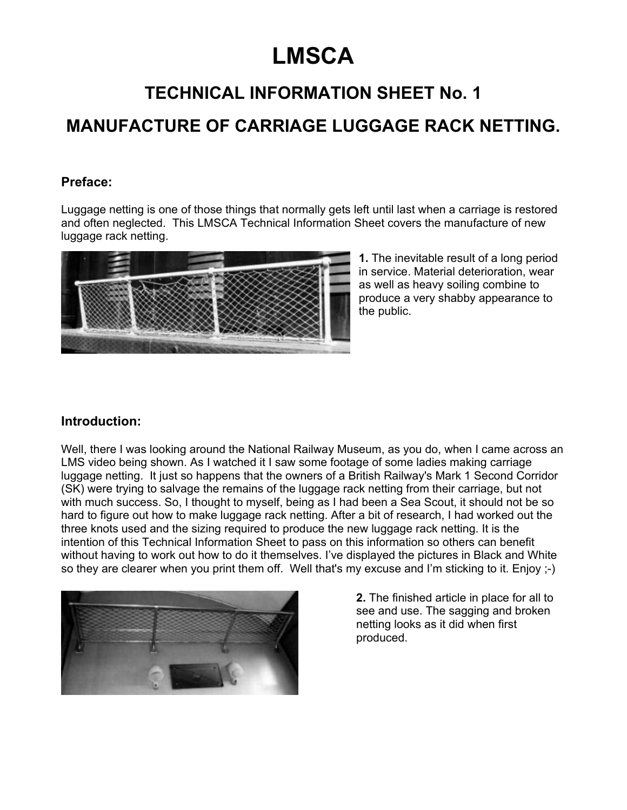# **LMSCA**

# **TECHNICAL INFORMATION SHEET No. 1**

# **MANUFACTURE OF CARRIAGE LUGGAGE RACK NETTING.**

### **Preface:**

Luggage netting is one of those things that normally gets left until last when a carriage is restored and often neglected. This LMSCA Technical Information Sheet covers the manufacture of new luggage rack netting.



**1.** The inevitable result of a long period in service. Material deterioration, wear as well as heavy soiling combine to produce a very shabby appearance to the public.

#### **Introduction:**

Well, there I was looking around the National Railway Museum, as you do, when I came across an LMS video being shown. As I watched it I saw some footage of some ladies making carriage luggage netting. It just so happens that the owners of a British Railway's Mark 1 Second Corridor (SK) were trying to salvage the remains of the luggage rack netting from their carriage, but not with much success. So, I thought to myself, being as I had been a Sea Scout, it should not be so hard to figure out how to make luggage rack netting. After a bit of research, I had worked out the three knots used and the sizing required to produce the new luggage rack netting. It is the intention of this Technical Information Sheet to pass on this information so others can benefit without having to work out how to do it themselves. I've displayed the pictures in Black and White so they are clearer when you print them off. Well that's my excuse and I'm sticking to it. Enjoy ;-)



**2.** The finished article in place for all to see and use. The sagging and broken netting looks as it did when first produced.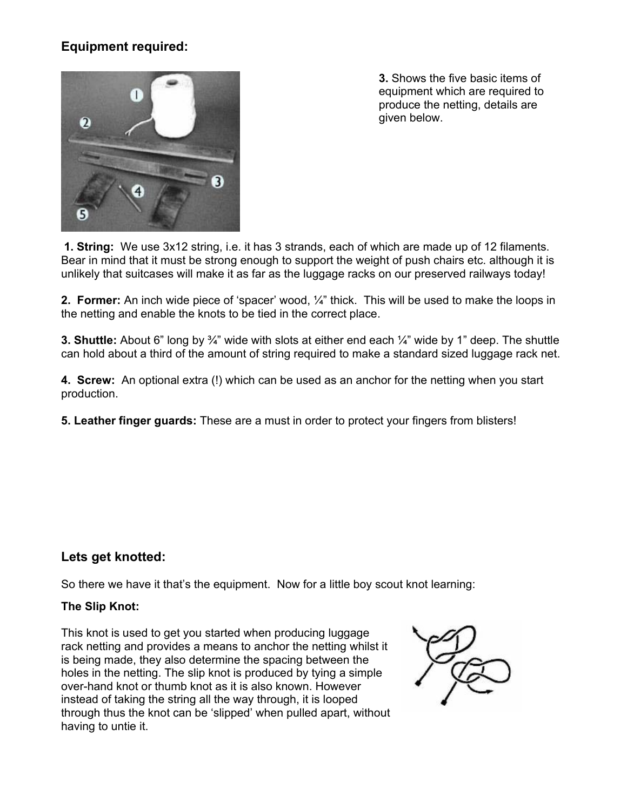## **Equipment required:**



**3.** Shows the five basic items of equipment which are required to produce the netting, details are given below.

**1. String:** We use 3x12 string, i.e. it has 3 strands, each of which are made up of 12 filaments. Bear in mind that it must be strong enough to support the weight of push chairs etc. although it is unlikely that suitcases will make it as far as the luggage racks on our preserved railways today!

**2. Former:** An inch wide piece of 'spacer' wood, ¼" thick. This will be used to make the loops in the netting and enable the knots to be tied in the correct place.

**3. Shuttle:** About 6" long by ¾" wide with slots at either end each ¼" wide by 1" deep. The shuttle can hold about a third of the amount of string required to make a standard sized luggage rack net.

**4. Screw:** An optional extra (!) which can be used as an anchor for the netting when you start production.

**5. Leather finger guards:** These are a must in order to protect your fingers from blisters!

#### **Lets get knotted:**

So there we have it that's the equipment. Now for a little boy scout knot learning:

#### **The Slip Knot:**

This knot is used to get you started when producing luggage rack netting and provides a means to anchor the netting whilst it is being made, they also determine the spacing between the holes in the netting. The slip knot is produced by tying a simple over-hand knot or thumb knot as it is also known. However instead of taking the string all the way through, it is looped through thus the knot can be 'slipped' when pulled apart, without having to untie it.

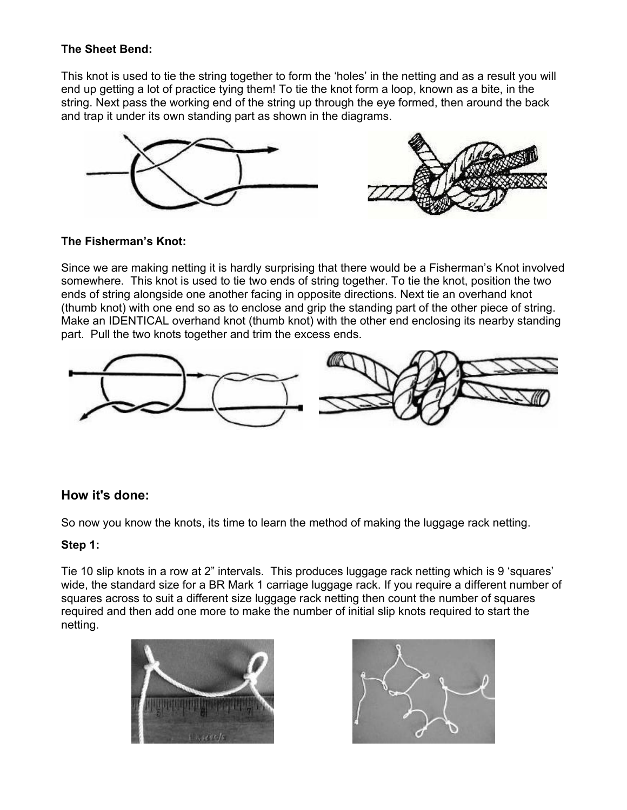#### **The Sheet Bend:**

This knot is used to tie the string together to form the 'holes' in the netting and as a result you will end up getting a lot of practice tying them! To tie the knot form a loop, known as a bite, in the string. Next pass the working end of the string up through the eye formed, then around the back and trap it under its own standing part as shown in the diagrams.





#### **The Fisherman's Knot:**

Since we are making netting it is hardly surprising that there would be a Fisherman's Knot involved somewhere. This knot is used to tie two ends of string together. To tie the knot, position the two ends of string alongside one another facing in opposite directions. Next tie an overhand knot (thumb knot) with one end so as to enclose and grip the standing part of the other piece of string. Make an IDENTICAL overhand knot (thumb knot) with the other end enclosing its nearby standing part. Pull the two knots together and trim the excess ends.



### **How it's done:**

So now you know the knots, its time to learn the method of making the luggage rack netting.

#### **Step 1:**

Tie 10 slip knots in a row at 2" intervals. This produces luggage rack netting which is 9 'squares' wide, the standard size for a BR Mark 1 carriage luggage rack. If you require a different number of squares across to suit a different size luggage rack netting then count the number of squares required and then add one more to make the number of initial slip knots required to start the netting.



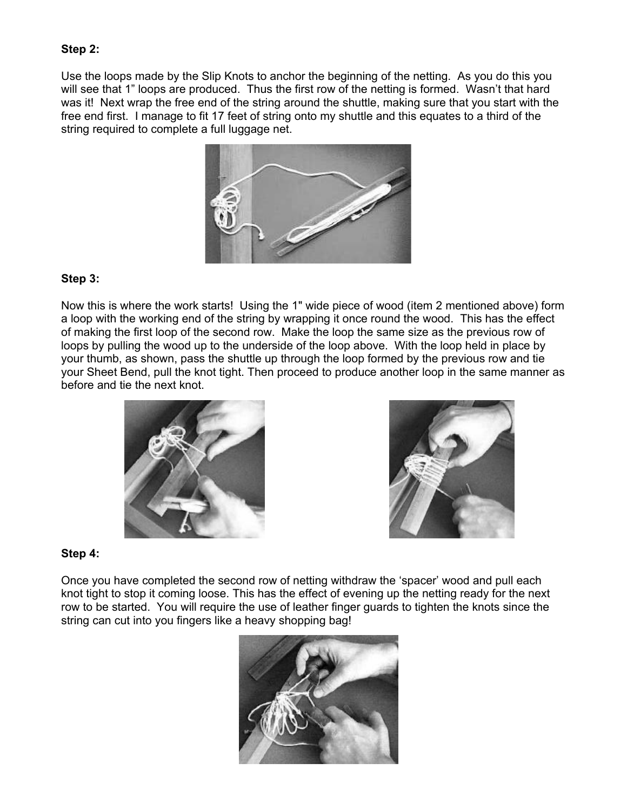#### **Step 2:**

Use the loops made by the Slip Knots to anchor the beginning of the netting. As you do this you will see that 1" loops are produced. Thus the first row of the netting is formed. Wasn't that hard was it! Next wrap the free end of the string around the shuttle, making sure that you start with the free end first. I manage to fit 17 feet of string onto my shuttle and this equates to a third of the string required to complete a full luggage net.



#### **Step 3:**

Now this is where the work starts! Using the 1" wide piece of wood (item 2 mentioned above) form a loop with the working end of the string by wrapping it once round the wood. This has the effect of making the first loop of the second row. Make the loop the same size as the previous row of loops by pulling the wood up to the underside of the loop above. With the loop held in place by your thumb, as shown, pass the shuttle up through the loop formed by the previous row and tie your Sheet Bend, pull the knot tight. Then proceed to produce another loop in the same manner as before and tie the next knot.





#### **Step 4:**

Once you have completed the second row of netting withdraw the 'spacer' wood and pull each knot tight to stop it coming loose. This has the effect of evening up the netting ready for the next row to be started. You will require the use of leather finger guards to tighten the knots since the string can cut into you fingers like a heavy shopping bag!